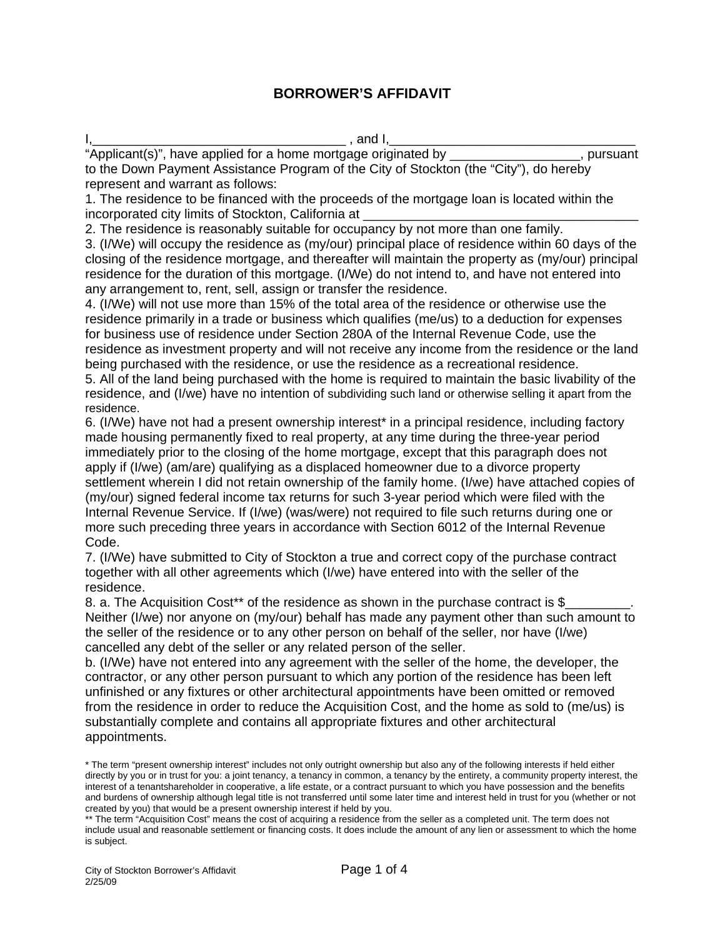# **BORROWER'S AFFIDAVIT**

I,\_\_\_\_\_\_\_\_\_\_\_\_\_\_\_\_\_\_\_\_\_\_\_\_\_\_\_\_\_\_\_\_\_\_\_ , and I,\_\_\_\_\_\_\_\_\_\_\_\_\_\_\_\_\_\_\_\_\_\_\_\_\_\_\_\_\_\_\_\_\_\_

"Applicant(s)", have applied for a home mortgage originated by \_\_\_\_\_\_\_\_\_\_\_\_\_\_\_\_\_\_, pursuant to the Down Payment Assistance Program of the City of Stockton (the "City"), do hereby represent and warrant as follows:

1. The residence to be financed with the proceeds of the mortgage loan is located within the incorporated city limits of Stockton, California at

2. The residence is reasonably suitable for occupancy by not more than one family.

3. (I/We) will occupy the residence as (my/our) principal place of residence within 60 days of the closing of the residence mortgage, and thereafter will maintain the property as (my/our) principal residence for the duration of this mortgage. (I/We) do not intend to, and have not entered into any arrangement to, rent, sell, assign or transfer the residence.

4. (I/We) will not use more than 15% of the total area of the residence or otherwise use the residence primarily in a trade or business which qualifies (me/us) to a deduction for expenses for business use of residence under Section 280A of the Internal Revenue Code, use the residence as investment property and will not receive any income from the residence or the land being purchased with the residence, or use the residence as a recreational residence.

5. All of the land being purchased with the home is required to maintain the basic livability of the residence, and (I/we) have no intention of subdividing such land or otherwise selling it apart from the residence.

6. (I/We) have not had a present ownership interest\* in a principal residence, including factory made housing permanently fixed to real property, at any time during the three-year period immediately prior to the closing of the home mortgage, except that this paragraph does not apply if (I/we) (am/are) qualifying as a displaced homeowner due to a divorce property settlement wherein I did not retain ownership of the family home. (I/we) have attached copies of (my/our) signed federal income tax returns for such 3-year period which were filed with the Internal Revenue Service. If (I/we) (was/were) not required to file such returns during one or more such preceding three years in accordance with Section 6012 of the Internal Revenue Code.

7. (I/We) have submitted to City of Stockton a true and correct copy of the purchase contract together with all other agreements which (I/we) have entered into with the seller of the residence.

8. a. The Acquisition Cost<sup>\*\*</sup> of the residence as shown in the purchase contract is \$ Neither (I/we) nor anyone on (my/our) behalf has made any payment other than such amount to the seller of the residence or to any other person on behalf of the seller, nor have (I/we) cancelled any debt of the seller or any related person of the seller.

b. (I/We) have not entered into any agreement with the seller of the home, the developer, the contractor, or any other person pursuant to which any portion of the residence has been left unfinished or any fixtures or other architectural appointments have been omitted or removed from the residence in order to reduce the Acquisition Cost, and the home as sold to (me/us) is substantially complete and contains all appropriate fixtures and other architectural appointments.

<sup>\*</sup> The term "present ownership interest" includes not only outright ownership but also any of the following interests if held either directly by you or in trust for you: a joint tenancy, a tenancy in common, a tenancy by the entirety, a community property interest, the interest of a tenantshareholder in cooperative, a life estate, or a contract pursuant to which you have possession and the benefits and burdens of ownership although legal title is not transferred until some later time and interest held in trust for you (whether or not created by you) that would be a present ownership interest if held by you.

<sup>\*\*</sup> The term "Acquisition Cost" means the cost of acquiring a residence from the seller as a completed unit. The term does not include usual and reasonable settlement or financing costs. It does include the amount of any lien or assessment to which the home is subject.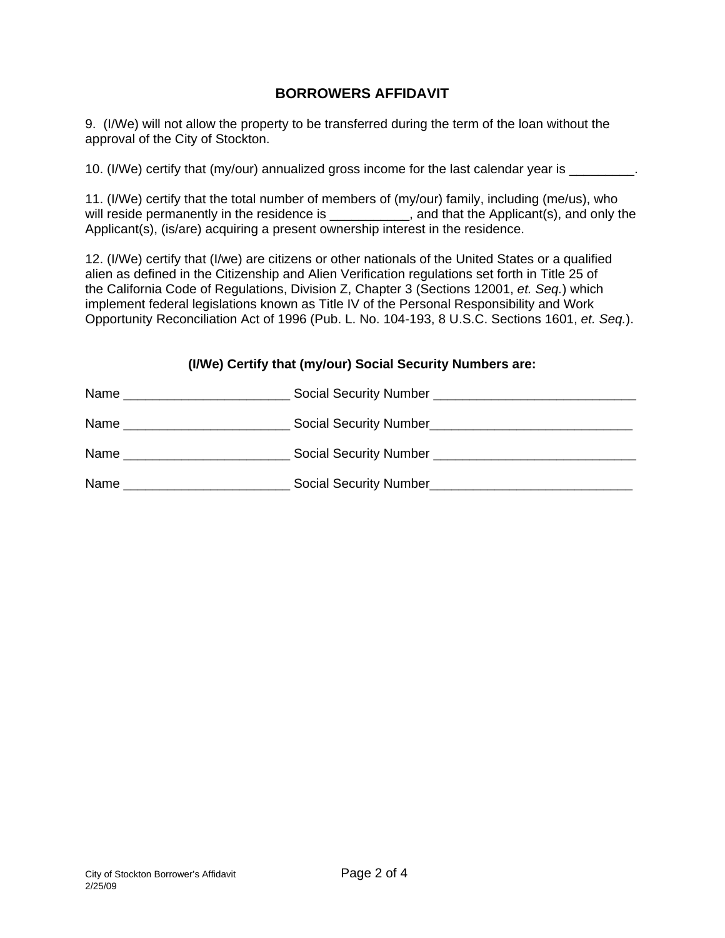# **BORROWERS AFFIDAVIT**

9. (I/We) will not allow the property to be transferred during the term of the loan without the approval of the City of Stockton.

10. (I/We) certify that (my/our) annualized gross income for the last calendar year is \_\_\_\_\_\_\_\_\_.

11. (I/We) certify that the total number of members of (my/our) family, including (me/us), who will reside permanently in the residence is \_\_\_\_\_\_\_\_\_\_, and that the Applicant(s), and only the Applicant(s), (is/are) acquiring a present ownership interest in the residence.

12. (I/We) certify that (I/we) are citizens or other nationals of the United States or a qualified alien as defined in the Citizenship and Alien Verification regulations set forth in Title 25 of the California Code of Regulations, Division Z, Chapter 3 (Sections 12001, *et. Seq.*) which implement federal legislations known as Title IV of the Personal Responsibility and Work Opportunity Reconciliation Act of 1996 (Pub. L. No. 104-193, 8 U.S.C. Sections 1601, *et. Seq.*).

#### **(I/We) Certify that (my/our) Social Security Numbers are:**

| Name | Social Security Number                                                                                                |
|------|-----------------------------------------------------------------------------------------------------------------------|
|      | <u> 1980 - Jan Sarajević, politički predsjednik i politički predsjednik i politički predsjednik i politički preds</u> |
| Name |                                                                                                                       |
| Name | Social Security Number _______________                                                                                |
| Name | Social Security Number                                                                                                |
|      |                                                                                                                       |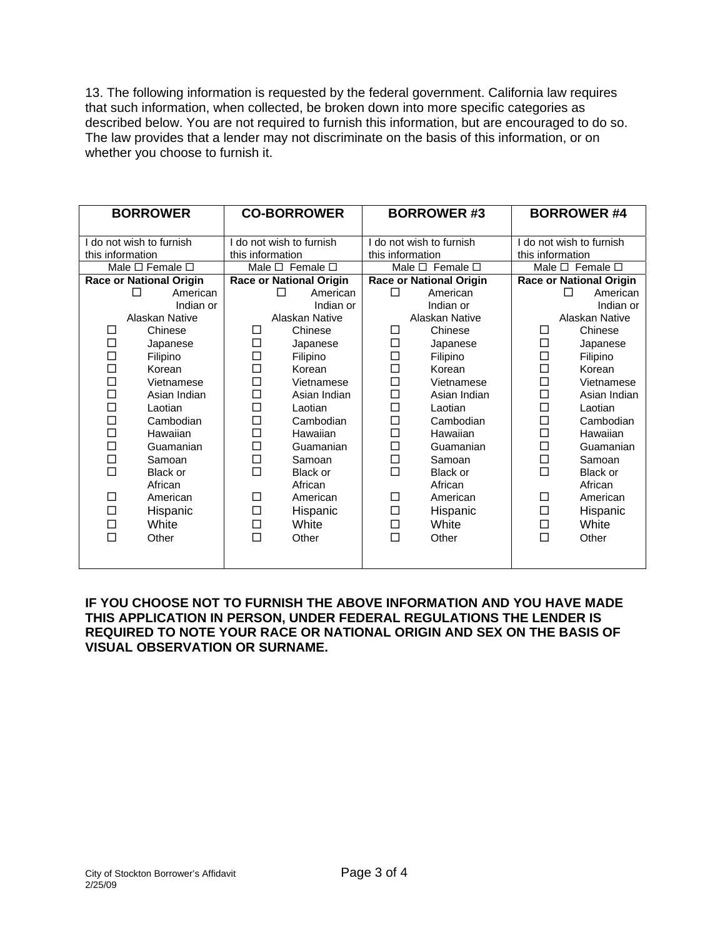13. The following information is requested by the federal government. California law requires that such information, when collected, be broken down into more specific categories as described below. You are not required to furnish this information, but are encouraged to do so. The law provides that a lender may not discriminate on the basis of this information, or on whether you choose to furnish it.

| <b>BORROWER</b>                      |                | <b>CO-BORROWER</b>             |                           | <b>BORROWER #3</b>             |                                 | <b>BORROWER #4</b>             |                           |  |
|--------------------------------------|----------------|--------------------------------|---------------------------|--------------------------------|---------------------------------|--------------------------------|---------------------------|--|
| I do not wish to furnish             |                | do not wish to furnish         |                           | do not wish to furnish         |                                 | I do not wish to furnish       |                           |  |
| this information<br>this information |                | this information               |                           |                                | this information                |                                |                           |  |
| Male $\square$ Female $\square$      |                |                                | Male $\Box$ Female $\Box$ |                                | Male $\square$ Female $\square$ |                                | Male $\Box$ Female $\Box$ |  |
| <b>Race or National Origin</b>       |                | <b>Race or National Origin</b> |                           | <b>Race or National Origin</b> |                                 | <b>Race or National Origin</b> |                           |  |
|                                      | American<br>П  |                                | American<br>П             | П                              | American                        |                                | American<br>П             |  |
|                                      | Indian or      |                                | Indian or                 |                                | Indian or                       |                                | Indian or                 |  |
|                                      | Alaskan Native | Alaskan Native                 |                           | Alaskan Native                 |                                 | Alaskan Native                 |                           |  |
| □                                    | Chinese        | □                              | Chinese                   | □                              | Chinese                         | □                              | Chinese                   |  |
| □                                    | Japanese       | $\Box$                         | Japanese                  | $\Box$                         | Japanese                        | □                              | Japanese                  |  |
| □                                    | Filipino       | □                              | Filipino                  | □                              | Filipino                        | □                              | Filipino                  |  |
| $\Box$                               | Korean         | $\Box$                         | Korean                    | $\Box$                         | Korean                          | $\Box$                         | Korean                    |  |
| $\Box$                               | Vietnamese     | $\Box$                         | Vietnamese                | $\Box$                         | Vietnamese                      | $\Box$                         | Vietnamese                |  |
| $\Box$                               | Asian Indian   | $\Box$                         | Asian Indian              | $\Box$                         | Asian Indian                    | $\Box$                         | Asian Indian              |  |
| $\Box$                               | Laotian        | $\Box$                         | Laotian                   | $\Box$                         | Laotian                         | $\Box$                         | Laotian                   |  |
| □                                    | Cambodian      | $\Box$                         | Cambodian                 | $\Box$                         | Cambodian                       | $\Box$                         | Cambodian                 |  |
| □                                    | Hawaiian       | $\Box$                         | Hawaiian                  | $\Box$                         | Hawaiian                        | $\Box$                         | Hawaiian                  |  |
| □                                    | Guamanian      | $\Box$                         | Guamanian                 | $\Box$                         | Guamanian                       | $\Box$                         | Guamanian                 |  |
| □                                    | Samoan         | $\Box$                         | Samoan                    | $\Box$                         | Samoan                          | □                              | Samoan                    |  |
| $\Box$                               | Black or       | $\Box$                         | Black or                  | $\Box$                         | Black or                        | $\Box$                         | Black or                  |  |
|                                      | African        |                                | African                   |                                | African                         |                                | African                   |  |
| □                                    | American       | □                              | American                  | □                              | American                        | □                              | American                  |  |
| □                                    | Hispanic       | $\Box$                         | Hispanic                  | $\Box$                         | Hispanic                        | $\Box$                         | Hispanic                  |  |
| □                                    | White          | $\Box$                         | White                     | □                              | White                           | □                              | White                     |  |
| $\Box$                               | Other          | $\Box$                         | Other                     | $\Box$                         | Other                           | $\Box$                         | Other                     |  |
|                                      |                |                                |                           |                                |                                 |                                |                           |  |

**IF YOU CHOOSE NOT TO FURNISH THE ABOVE INFORMATION AND YOU HAVE MADE THIS APPLICATION IN PERSON, UNDER FEDERAL REGULATIONS THE LENDER IS REQUIRED TO NOTE YOUR RACE OR NATIONAL ORIGIN AND SEX ON THE BASIS OF VISUAL OBSERVATION OR SURNAME.**